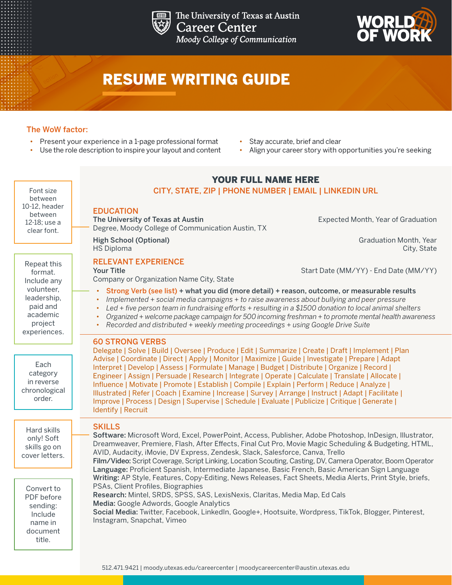

The University of Texas at Austin **Career Center** Moody College of Communication



# RESUME WRITING GUIDE

### The WoW factor:

- Present your experience in a 1-page professional format
- Use the role description to inspire your layout and content
- Stay accurate, brief and clear
- Align your career story with opportunities you're seeking

#### Font size between 10-12, header between 12-18; use a clear font.

Repeat this format. Include any volunteer, leadership, paid and academic project experiences.

**Each** category in reverse chronological order.

Hard skills only! Soft skills go on cover letters.

Convert to PDF before sending: Include name in document title.

## YOUR FULL NAME HERE

#### CITY, STATE, ZIP | PHONE NUMBER | EMAIL | LINKEDIN URL

#### EDUCATION

The University of Texas at Austin Expected Month, Year of Graduation Degree, Moody College of Communication Austin, TX

**High School (Optional)** Graduation Month, Year HS Diploma City, State

#### RELEVANT EXPERIENCE Your Title Start Date (MM/YY) - End Date (MM/YY) - End Date (MM/YY) - End Date (MM/YY)

Company or Organization Name City, State

- Strong Verb (see list) + what you did (more detail) + reason, outcome, or measurable results
- *• Implemented + social media campaigns + to raise awareness about bullying and peer pressure*
	- *• Led + five person team in fundraising efforts + resulting in a \$1500 donation to local animal shelters*
- *• Organized + welcome package campaign for 500 incoming freshman + to promote mental health awareness*
- *• Recorded and distributed + weekly meeting proceedings + using Google Drive Suite*

#### 60 STRONG VERBS

Delegate | Solve | Build | Oversee | Produce | Edit | Summarize | Create | Draft | Implement | Plan Advise | Coordinate | Direct | Apply | Monitor | Maximize | Guide | Investigate | Prepare | Adapt Interpret | Develop | Assess | Formulate | Manage | Budget | Distribute | Organize | Record | Engineer | Assign | Persuade | Research | Integrate | Operate | Calculate | Translate | Allocate | Influence | Motivate | Promote | Establish | Compile | Explain | Perform | Reduce | Analyze | Illustrated | Refer | Coach | Examine | Increase | Survey | Arrange | Instruct | Adapt | Facilitate | Improve | Process | Design | Supervise | Schedule | Evaluate | Publicize | Critique | Generate | Identify | Recruit

#### **SKILLS**

Software: Microsoft Word, Excel, PowerPoint, Access, Publisher, Adobe Photoshop, InDesign, Illustrator, Dreamweaver, Premiere, Flash, After Effects, Final Cut Pro, Movie Magic Scheduling & Budgeting, HTML, AVID, Audacity, iMovie, DV Express, Zendesk, Slack, Salesforce, Canva, Trello Film/Video: Script Coverage, Script Linking, Location Scouting, Casting, DV, Camera Operator, Boom Operator Language: Proficient Spanish, Intermediate Japanese, Basic French, Basic American Sign Language Writing: AP Style, Features, Copy-Editing, News Releases, Fact Sheets, Media Alerts, Print Style, briefs, PSAs, Client Profiles, Biographies Research: Mintel, SRDS, SPSS, SAS, LexisNexis, Claritas, Media Map, Ed Cals Media: Google Adwords, Google Analytics Social Media: Twitter, Facebook, LinkedIn, Google+, Hootsuite, Wordpress, TikTok, Blogger, Pinterest, Instagram, Snapchat, Vimeo